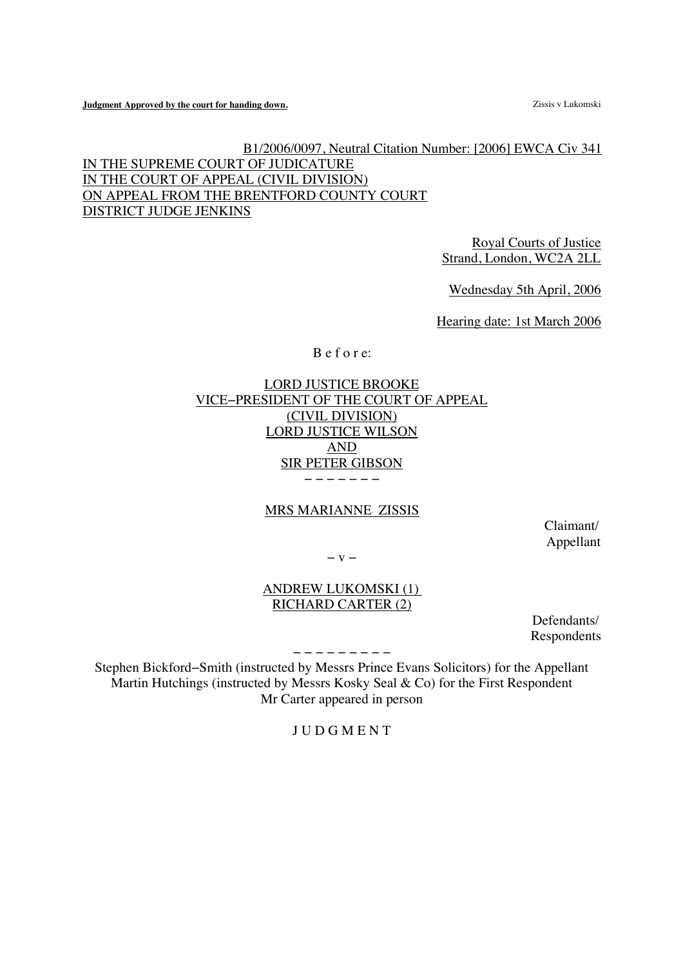**Judgment Approved by the court for handing down. Zissis v Lukomski Zissis v Lukomski** 

B1/2006/0097, Neutral Citation Number: [2006] EWCA Civ 341 IN THE SUPREME COURT OF JUDICATURE IN THE COURT OF APPEAL (CIVIL DIVISION) ON APPEAL FROM THE BRENTFORD COUNTY COURT DISTRICT JUDGE JENKINS

> Royal Courts of Justice Strand, London, WC2A 2LL

Wednesday 5th April, 2006

Hearing date: 1st March 2006

B e f o r e:

LORD JUSTICE BROOKE VICE−PRESIDENT OF THE COURT OF APPEAL (CIVIL DIVISION) LORD JUSTICE WILSON AND SIR PETER GIBSON − − − − − − −

# MRS MARIANNE ZISSIS

Claimant/ Appellant

− v −

ANDREW LUKOMSKI (1) RICHARD CARTER (2)

> Defendants/ Respondents

− − − − − − − − −

Stephen Bickford−Smith (instructed by Messrs Prince Evans Solicitors) for the Appellant Martin Hutchings (instructed by Messrs Kosky Seal & Co) for the First Respondent Mr Carter appeared in person

J U D G M E N T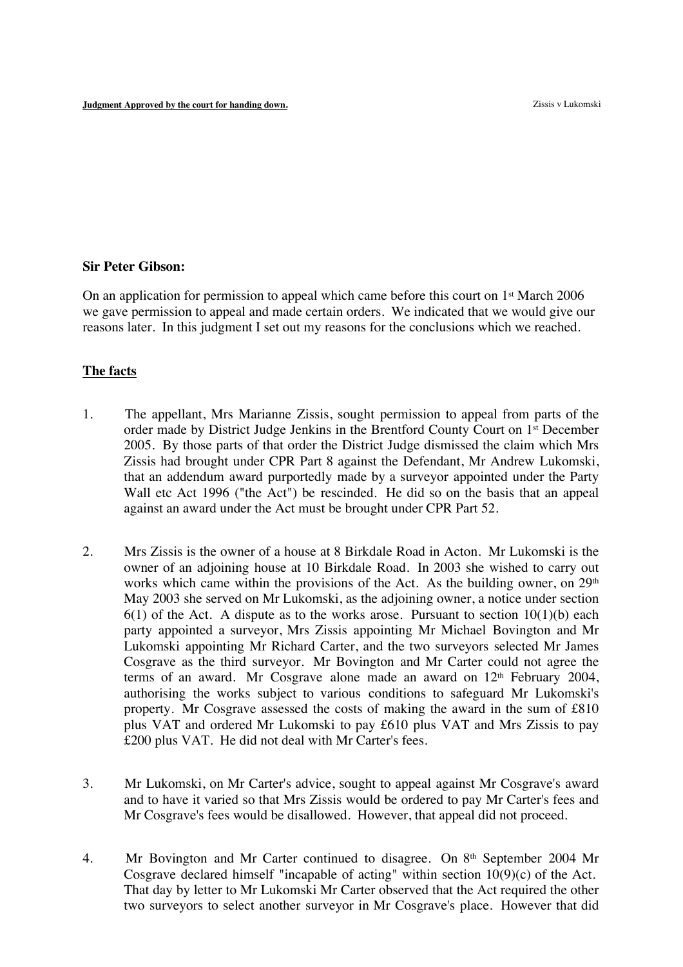## **Sir Peter Gibson:**

On an application for permission to appeal which came before this court on  $1<sup>st</sup>$  March 2006 we gave permission to appeal and made certain orders. We indicated that we would give our reasons later. In this judgment I set out my reasons for the conclusions which we reached.

### **The facts**

- 1. The appellant, Mrs Marianne Zissis, sought permission to appeal from parts of the order made by District Judge Jenkins in the Brentford County Court on 1st December 2005. By those parts of that order the District Judge dismissed the claim which Mrs Zissis had brought under CPR Part 8 against the Defendant, Mr Andrew Lukomski, that an addendum award purportedly made by a surveyor appointed under the Party Wall etc Act 1996 ("the Act") be rescinded. He did so on the basis that an appeal against an award under the Act must be brought under CPR Part 52.
- 2. Mrs Zissis is the owner of a house at 8 Birkdale Road in Acton. Mr Lukomski is the owner of an adjoining house at 10 Birkdale Road. In 2003 she wished to carry out works which came within the provisions of the Act. As the building owner, on  $29<sup>th</sup>$ May 2003 she served on Mr Lukomski, as the adjoining owner, a notice under section  $6(1)$  of the Act. A dispute as to the works arose. Pursuant to section  $10(1)(b)$  each party appointed a surveyor, Mrs Zissis appointing Mr Michael Bovington and Mr Lukomski appointing Mr Richard Carter, and the two surveyors selected Mr James Cosgrave as the third surveyor. Mr Bovington and Mr Carter could not agree the terms of an award. Mr Cosgrave alone made an award on  $12<sup>th</sup>$  February 2004, authorising the works subject to various conditions to safeguard Mr Lukomski's property. Mr Cosgrave assessed the costs of making the award in the sum of £810 plus VAT and ordered Mr Lukomski to pay £610 plus VAT and Mrs Zissis to pay £200 plus VAT. He did not deal with Mr Carter's fees.
- 3. Mr Lukomski, on Mr Carter's advice, sought to appeal against Mr Cosgrave's award and to have it varied so that Mrs Zissis would be ordered to pay Mr Carter's fees and Mr Cosgrave's fees would be disallowed. However, that appeal did not proceed.
- 4. Mr Bovington and Mr Carter continued to disagree. On 8<sup>th</sup> September 2004 Mr Cosgrave declared himself "incapable of acting" within section 10(9)(c) of the Act. That day by letter to Mr Lukomski Mr Carter observed that the Act required the other two surveyors to select another surveyor in Mr Cosgrave's place. However that did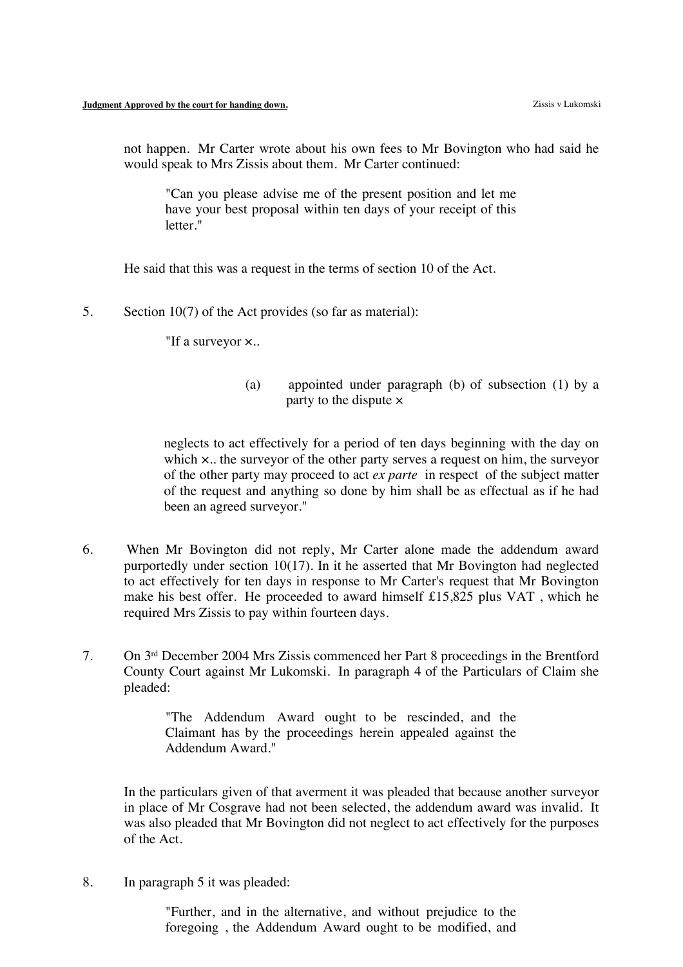not happen. Mr Carter wrote about his own fees to Mr Bovington who had said he would speak to Mrs Zissis about them. Mr Carter continued:

"Can you please advise me of the present position and let me have your best proposal within ten days of your receipt of this letter."

He said that this was a request in the terms of section 10 of the Act.

5. Section 10(7) of the Act provides (so far as material):

"If a surveyor ×..

(a) appointed under paragraph (b) of subsection (1) by a party to the dispute  $\times$ 

neglects to act effectively for a period of ten days beginning with the day on which x.. the surveyor of the other party serves a request on him, the surveyor of the other party may proceed to act *ex parte* in respect of the subject matter of the request and anything so done by him shall be as effectual as if he had been an agreed surveyor."

- 6. When Mr Bovington did not reply, Mr Carter alone made the addendum award purportedly under section 10(17). In it he asserted that Mr Bovington had neglected to act effectively for ten days in response to Mr Carter's request that Mr Bovington make his best offer. He proceeded to award himself £15,825 plus VAT , which he required Mrs Zissis to pay within fourteen days.
- 7. On 3rd December 2004 Mrs Zissis commenced her Part 8 proceedings in the Brentford County Court against Mr Lukomski. In paragraph 4 of the Particulars of Claim she pleaded:

"The Addendum Award ought to be rescinded, and the Claimant has by the proceedings herein appealed against the Addendum Award."

In the particulars given of that averment it was pleaded that because another surveyor in place of Mr Cosgrave had not been selected, the addendum award was invalid. It was also pleaded that Mr Bovington did not neglect to act effectively for the purposes of the Act.

8. In paragraph 5 it was pleaded:

"Further, and in the alternative, and without prejudice to the foregoing , the Addendum Award ought to be modified, and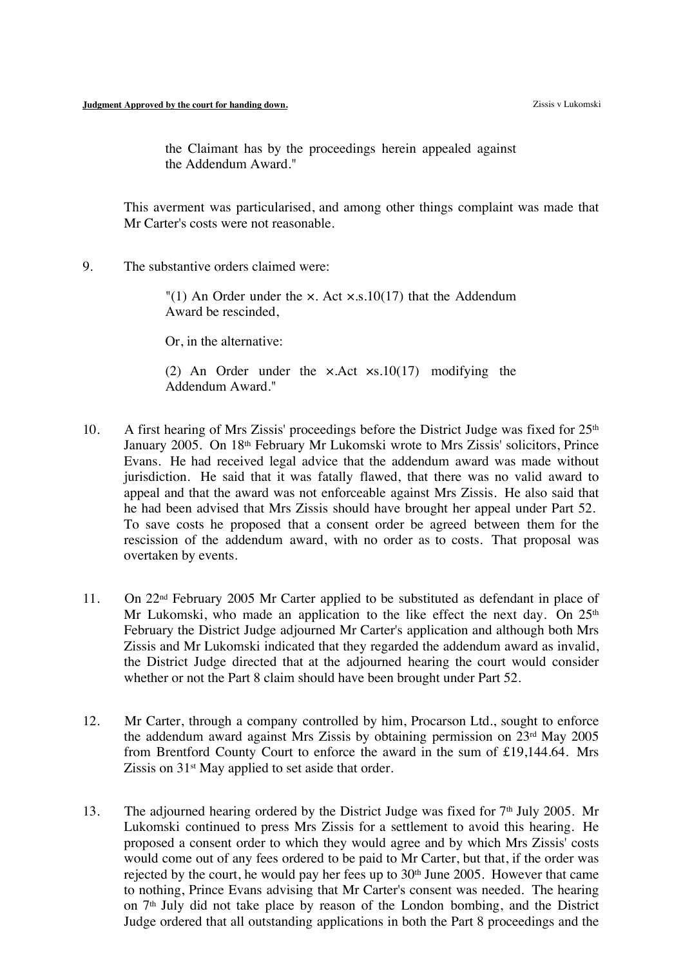the Claimant has by the proceedings herein appealed against the Addendum Award."

This averment was particularised, and among other things complaint was made that Mr Carter's costs were not reasonable.

9. The substantive orders claimed were:

"(1) An Order under the  $\times$ . Act  $\times$ .s.10(17) that the Addendum Award be rescinded,

Or, in the alternative:

(2) An Order under the ×.Act ×s.10(17) modifying the Addendum Award."

- 10. A first hearing of Mrs Zissis' proceedings before the District Judge was fixed for  $25<sup>th</sup>$ January 2005. On 18<sup>th</sup> February Mr Lukomski wrote to Mrs Zissis' solicitors, Prince Evans. He had received legal advice that the addendum award was made without jurisdiction. He said that it was fatally flawed, that there was no valid award to appeal and that the award was not enforceable against Mrs Zissis. He also said that he had been advised that Mrs Zissis should have brought her appeal under Part 52. To save costs he proposed that a consent order be agreed between them for the rescission of the addendum award, with no order as to costs. That proposal was overtaken by events.
- 11. On 22nd February 2005 Mr Carter applied to be substituted as defendant in place of Mr Lukomski, who made an application to the like effect the next day. On  $25<sup>th</sup>$ February the District Judge adjourned Mr Carter's application and although both Mrs Zissis and Mr Lukomski indicated that they regarded the addendum award as invalid, the District Judge directed that at the adjourned hearing the court would consider whether or not the Part 8 claim should have been brought under Part 52.
- 12. Mr Carter, through a company controlled by him, Procarson Ltd., sought to enforce the addendum award against Mrs Zissis by obtaining permission on 23rd May 2005 from Brentford County Court to enforce the award in the sum of £19,144.64. Mrs Zissis on 31<sup>st</sup> May applied to set aside that order.
- 13. The adjourned hearing ordered by the District Judge was fixed for  $7<sup>th</sup>$  July 2005. Mr Lukomski continued to press Mrs Zissis for a settlement to avoid this hearing. He proposed a consent order to which they would agree and by which Mrs Zissis' costs would come out of any fees ordered to be paid to Mr Carter, but that, if the order was rejected by the court, he would pay her fees up to 30<sup>th</sup> June 2005. However that came to nothing, Prince Evans advising that Mr Carter's consent was needed. The hearing on  $7<sup>th</sup>$  July did not take place by reason of the London bombing, and the District Judge ordered that all outstanding applications in both the Part 8 proceedings and the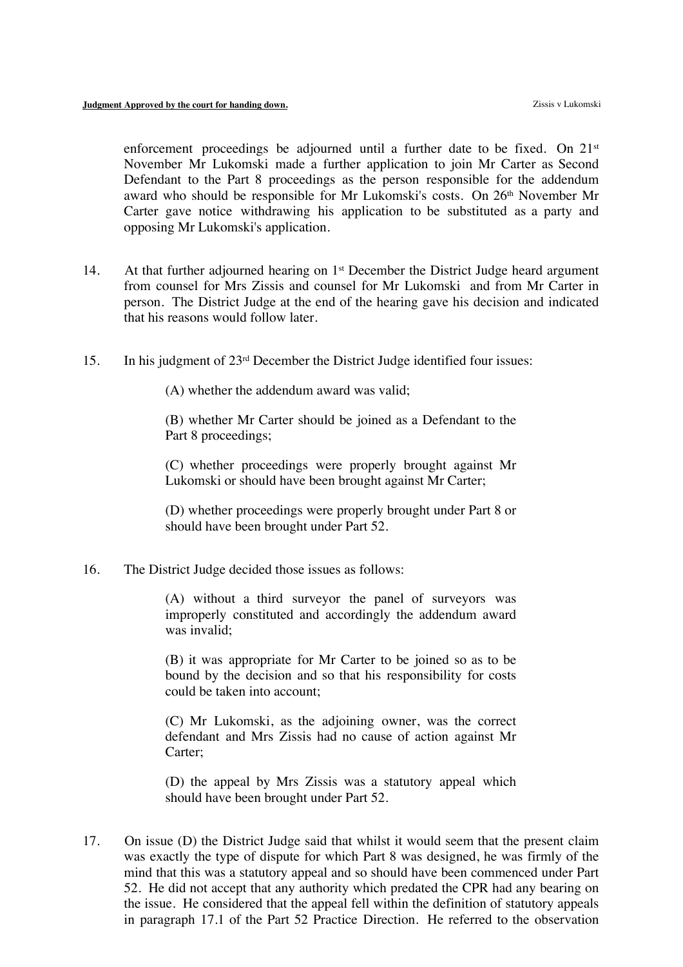enforcement proceedings be adjourned until a further date to be fixed. On  $21<sup>st</sup>$ November Mr Lukomski made a further application to join Mr Carter as Second Defendant to the Part 8 proceedings as the person responsible for the addendum award who should be responsible for Mr Lukomski's costs. On 26th November Mr Carter gave notice withdrawing his application to be substituted as a party and opposing Mr Lukomski's application.

- 14. At that further adjourned hearing on  $1<sup>st</sup>$  December the District Judge heard argument from counsel for Mrs Zissis and counsel for Mr Lukomski and from Mr Carter in person. The District Judge at the end of the hearing gave his decision and indicated that his reasons would follow later.
- 15. In his judgment of 23rd December the District Judge identified four issues:

(A) whether the addendum award was valid;

(B) whether Mr Carter should be joined as a Defendant to the Part 8 proceedings;

(C) whether proceedings were properly brought against Mr Lukomski or should have been brought against Mr Carter;

(D) whether proceedings were properly brought under Part 8 or should have been brought under Part 52.

16. The District Judge decided those issues as follows:

(A) without a third surveyor the panel of surveyors was improperly constituted and accordingly the addendum award was invalid;

(B) it was appropriate for Mr Carter to be joined so as to be bound by the decision and so that his responsibility for costs could be taken into account;

(C) Mr Lukomski, as the adjoining owner, was the correct defendant and Mrs Zissis had no cause of action against Mr Carter;

(D) the appeal by Mrs Zissis was a statutory appeal which should have been brought under Part 52.

17. On issue (D) the District Judge said that whilst it would seem that the present claim was exactly the type of dispute for which Part 8 was designed, he was firmly of the mind that this was a statutory appeal and so should have been commenced under Part 52. He did not accept that any authority which predated the CPR had any bearing on the issue. He considered that the appeal fell within the definition of statutory appeals in paragraph 17.1 of the Part 52 Practice Direction. He referred to the observation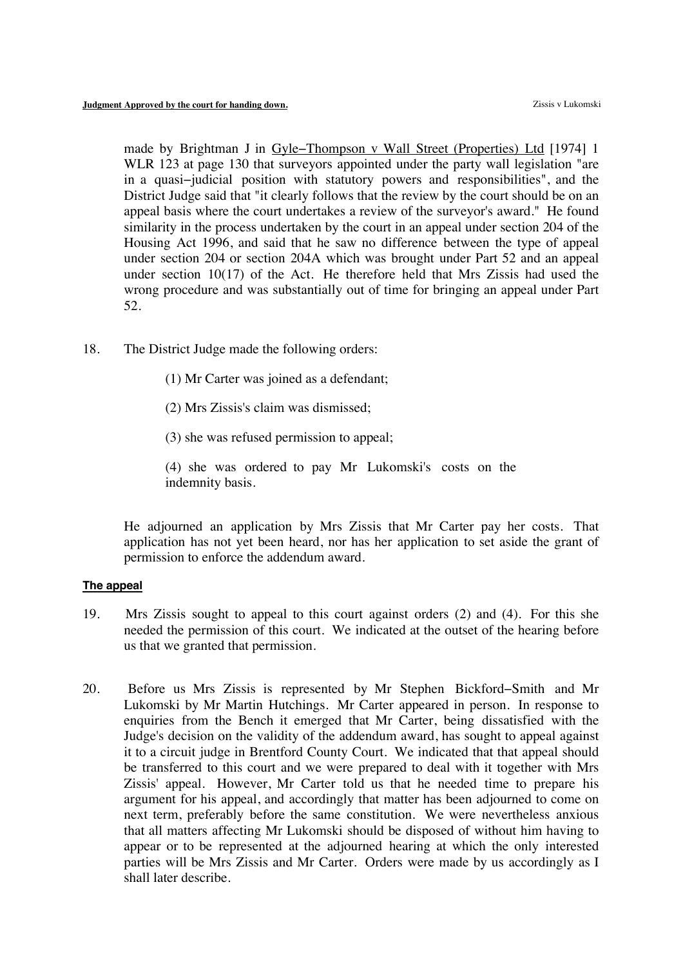made by Brightman J in Gyle−Thompson v Wall Street (Properties) Ltd [1974] 1 WLR 123 at page 130 that surveyors appointed under the party wall legislation "are in a quasi−judicial position with statutory powers and responsibilities", and the District Judge said that "it clearly follows that the review by the court should be on an appeal basis where the court undertakes a review of the surveyor's award." He found similarity in the process undertaken by the court in an appeal under section 204 of the Housing Act 1996, and said that he saw no difference between the type of appeal under section 204 or section 204A which was brought under Part 52 and an appeal under section 10(17) of the Act. He therefore held that Mrs Zissis had used the wrong procedure and was substantially out of time for bringing an appeal under Part 52.

- 18. The District Judge made the following orders:
	- (1) Mr Carter was joined as a defendant;
	- (2) Mrs Zissis's claim was dismissed;
	- (3) she was refused permission to appeal;
	- (4) she was ordered to pay Mr Lukomski's costs on the indemnity basis.

He adjourned an application by Mrs Zissis that Mr Carter pay her costs. That application has not yet been heard, nor has her application to set aside the grant of permission to enforce the addendum award.

#### **The appeal**

- 19. Mrs Zissis sought to appeal to this court against orders (2) and (4). For this she needed the permission of this court. We indicated at the outset of the hearing before us that we granted that permission.
- 20. Before us Mrs Zissis is represented by Mr Stephen Bickford−Smith and Mr Lukomski by Mr Martin Hutchings. Mr Carter appeared in person. In response to enquiries from the Bench it emerged that Mr Carter, being dissatisfied with the Judge's decision on the validity of the addendum award, has sought to appeal against it to a circuit judge in Brentford County Court. We indicated that that appeal should be transferred to this court and we were prepared to deal with it together with Mrs Zissis' appeal. However, Mr Carter told us that he needed time to prepare his argument for his appeal, and accordingly that matter has been adjourned to come on next term, preferably before the same constitution. We were nevertheless anxious that all matters affecting Mr Lukomski should be disposed of without him having to appear or to be represented at the adjourned hearing at which the only interested parties will be Mrs Zissis and Mr Carter. Orders were made by us accordingly as I shall later describe.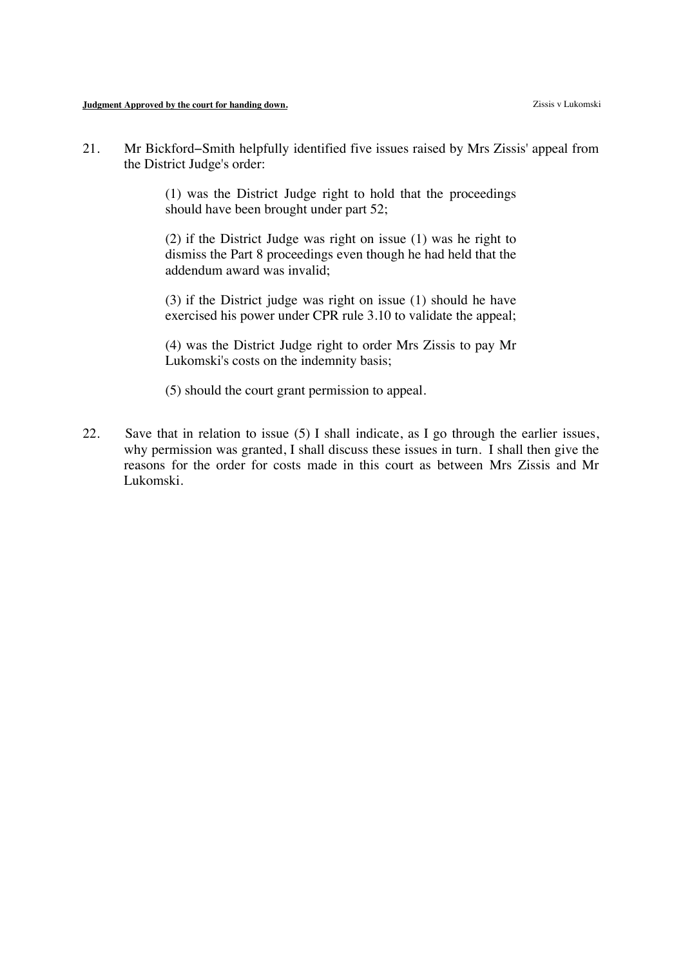21. Mr Bickford−Smith helpfully identified five issues raised by Mrs Zissis' appeal from the District Judge's order:

> (1) was the District Judge right to hold that the proceedings should have been brought under part 52;

> (2) if the District Judge was right on issue (1) was he right to dismiss the Part 8 proceedings even though he had held that the addendum award was invalid;

> (3) if the District judge was right on issue (1) should he have exercised his power under CPR rule 3.10 to validate the appeal;

> (4) was the District Judge right to order Mrs Zissis to pay Mr Lukomski's costs on the indemnity basis;

(5) should the court grant permission to appeal.

22. Save that in relation to issue (5) I shall indicate, as I go through the earlier issues, why permission was granted, I shall discuss these issues in turn. I shall then give the reasons for the order for costs made in this court as between Mrs Zissis and Mr Lukomski.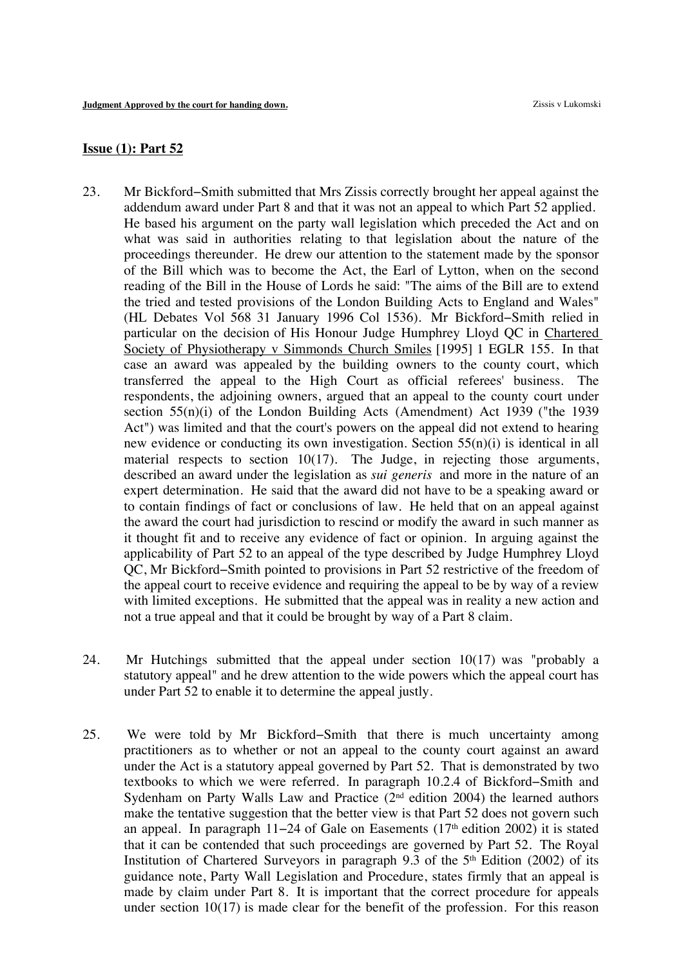# **Issue (1): Part 52**

- 23. Mr Bickford−Smith submitted that Mrs Zissis correctly brought her appeal against the addendum award under Part 8 and that it was not an appeal to which Part 52 applied. He based his argument on the party wall legislation which preceded the Act and on what was said in authorities relating to that legislation about the nature of the proceedings thereunder. He drew our attention to the statement made by the sponsor of the Bill which was to become the Act, the Earl of Lytton, when on the second reading of the Bill in the House of Lords he said: "The aims of the Bill are to extend the tried and tested provisions of the London Building Acts to England and Wales" (HL Debates Vol 568 31 January 1996 Col 1536). Mr Bickford−Smith relied in particular on the decision of His Honour Judge Humphrey Lloyd QC in Chartered Society of Physiotherapy v Simmonds Church Smiles [1995] 1 EGLR 155. In that case an award was appealed by the building owners to the county court, which transferred the appeal to the High Court as official referees' business. The respondents, the adjoining owners, argued that an appeal to the county court under section 55(n)(i) of the London Building Acts (Amendment) Act 1939 ("the 1939 Act") was limited and that the court's powers on the appeal did not extend to hearing new evidence or conducting its own investigation. Section 55(n)(i) is identical in all material respects to section 10(17). The Judge, in rejecting those arguments, described an award under the legislation as *sui generis* and more in the nature of an expert determination. He said that the award did not have to be a speaking award or to contain findings of fact or conclusions of law. He held that on an appeal against the award the court had jurisdiction to rescind or modify the award in such manner as it thought fit and to receive any evidence of fact or opinion. In arguing against the applicability of Part 52 to an appeal of the type described by Judge Humphrey Lloyd QC, Mr Bickford−Smith pointed to provisions in Part 52 restrictive of the freedom of the appeal court to receive evidence and requiring the appeal to be by way of a review with limited exceptions. He submitted that the appeal was in reality a new action and not a true appeal and that it could be brought by way of a Part 8 claim.
- 24. Mr Hutchings submitted that the appeal under section 10(17) was "probably a statutory appeal" and he drew attention to the wide powers which the appeal court has under Part 52 to enable it to determine the appeal justly.
- 25. We were told by Mr Bickford−Smith that there is much uncertainty among practitioners as to whether or not an appeal to the county court against an award under the Act is a statutory appeal governed by Part 52. That is demonstrated by two textbooks to which we were referred. In paragraph 10.2.4 of Bickford−Smith and Sydenham on Party Walls Law and Practice  $(2<sup>nd</sup>$  edition 2004) the learned authors make the tentative suggestion that the better view is that Part 52 does not govern such an appeal. In paragraph 11−24 of Gale on Easements (17th edition 2002) it is stated that it can be contended that such proceedings are governed by Part 52. The Royal Institution of Chartered Surveyors in paragraph 9.3 of the  $5<sup>th</sup>$  Edition (2002) of its guidance note, Party Wall Legislation and Procedure, states firmly that an appeal is made by claim under Part 8. It is important that the correct procedure for appeals under section  $10(17)$  is made clear for the benefit of the profession. For this reason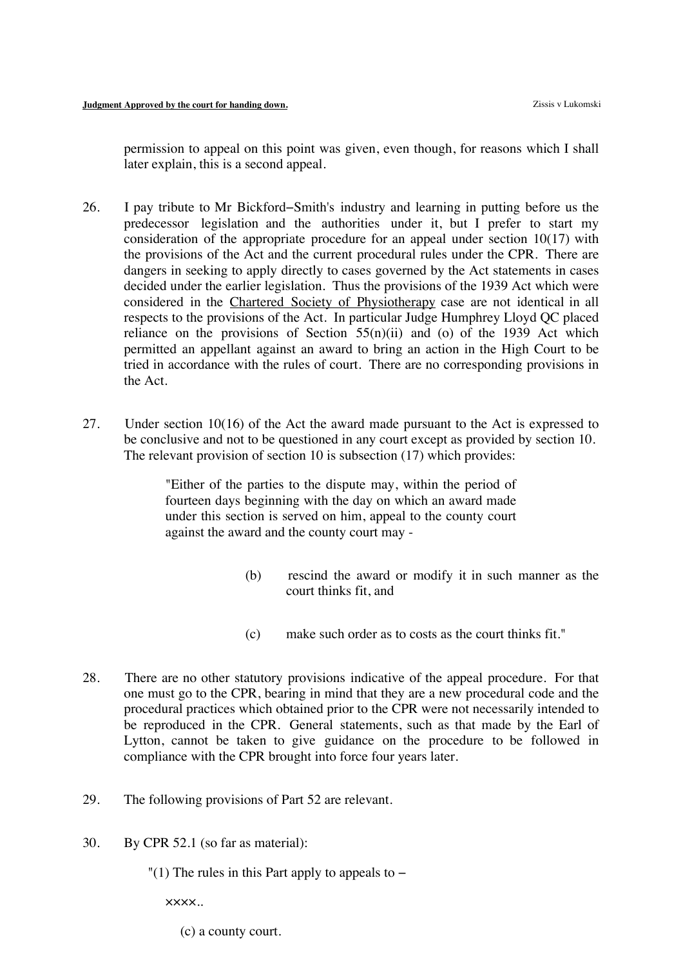permission to appeal on this point was given, even though, for reasons which I shall later explain, this is a second appeal.

- 26. I pay tribute to Mr Bickford−Smith's industry and learning in putting before us the predecessor legislation and the authorities under it, but I prefer to start my consideration of the appropriate procedure for an appeal under section 10(17) with the provisions of the Act and the current procedural rules under the CPR. There are dangers in seeking to apply directly to cases governed by the Act statements in cases decided under the earlier legislation. Thus the provisions of the 1939 Act which were considered in the Chartered Society of Physiotherapy case are not identical in all respects to the provisions of the Act. In particular Judge Humphrey Lloyd QC placed reliance on the provisions of Section  $55(n)(ii)$  and (o) of the 1939 Act which permitted an appellant against an award to bring an action in the High Court to be tried in accordance with the rules of court. There are no corresponding provisions in the Act.
- 27. Under section 10(16) of the Act the award made pursuant to the Act is expressed to be conclusive and not to be questioned in any court except as provided by section 10. The relevant provision of section 10 is subsection (17) which provides:

"Either of the parties to the dispute may, within the period of fourteen days beginning with the day on which an award made under this section is served on him, appeal to the county court against the award and the county court may -

- (b) rescind the award or modify it in such manner as the court thinks fit, and
- (c) make such order as to costs as the court thinks fit."
- 28. There are no other statutory provisions indicative of the appeal procedure. For that one must go to the CPR, bearing in mind that they are a new procedural code and the procedural practices which obtained prior to the CPR were not necessarily intended to be reproduced in the CPR. General statements, such as that made by the Earl of Lytton, cannot be taken to give guidance on the procedure to be followed in compliance with the CPR brought into force four years later.
- 29. The following provisions of Part 52 are relevant.
- 30. By CPR 52.1 (so far as material):
	- "(1) The rules in this Part apply to appeals to  $-$

××××..

(c) a county court.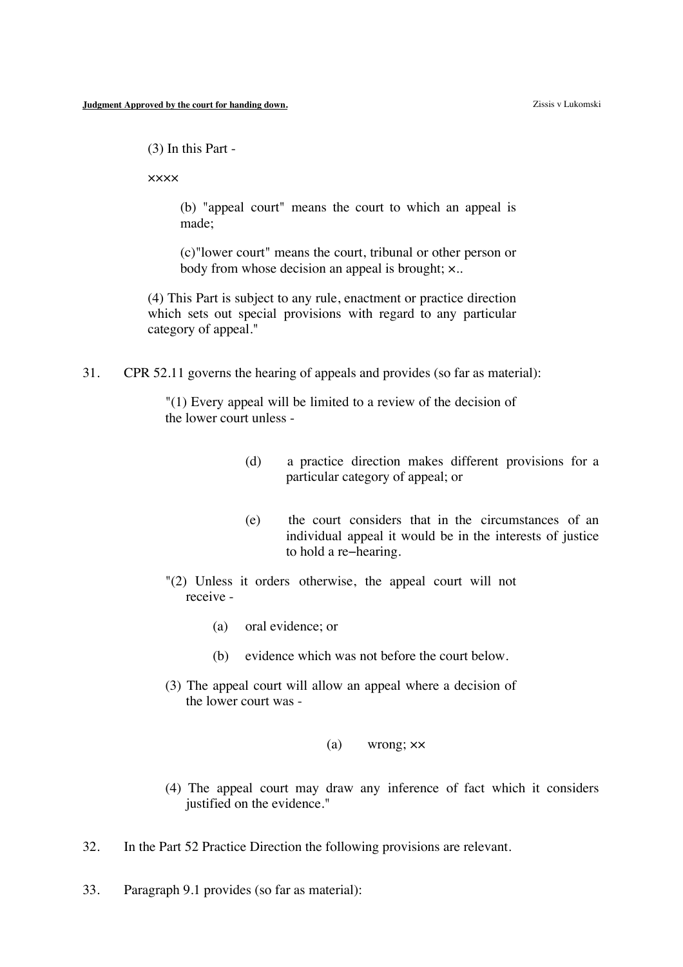(3) In this Part -

××××

(b) "appeal court" means the court to which an appeal is made;

(c)"lower court" means the court, tribunal or other person or body from whose decision an appeal is brought; ×..

(4) This Part is subject to any rule, enactment or practice direction which sets out special provisions with regard to any particular category of appeal."

31. CPR 52.11 governs the hearing of appeals and provides (so far as material):

"(1) Every appeal will be limited to a review of the decision of the lower court unless -

- (d) a practice direction makes different provisions for a particular category of appeal; or
- (e) the court considers that in the circumstances of an individual appeal it would be in the interests of justice to hold a re−hearing.
- "(2) Unless it orders otherwise, the appeal court will not receive -
	- (a) oral evidence; or
	- (b) evidence which was not before the court below.
- (3) The appeal court will allow an appeal where a decision of the lower court was -
	- (a) wrong; ××
- (4) The appeal court may draw any inference of fact which it considers justified on the evidence."
- 32. In the Part 52 Practice Direction the following provisions are relevant.
- 33. Paragraph 9.1 provides (so far as material):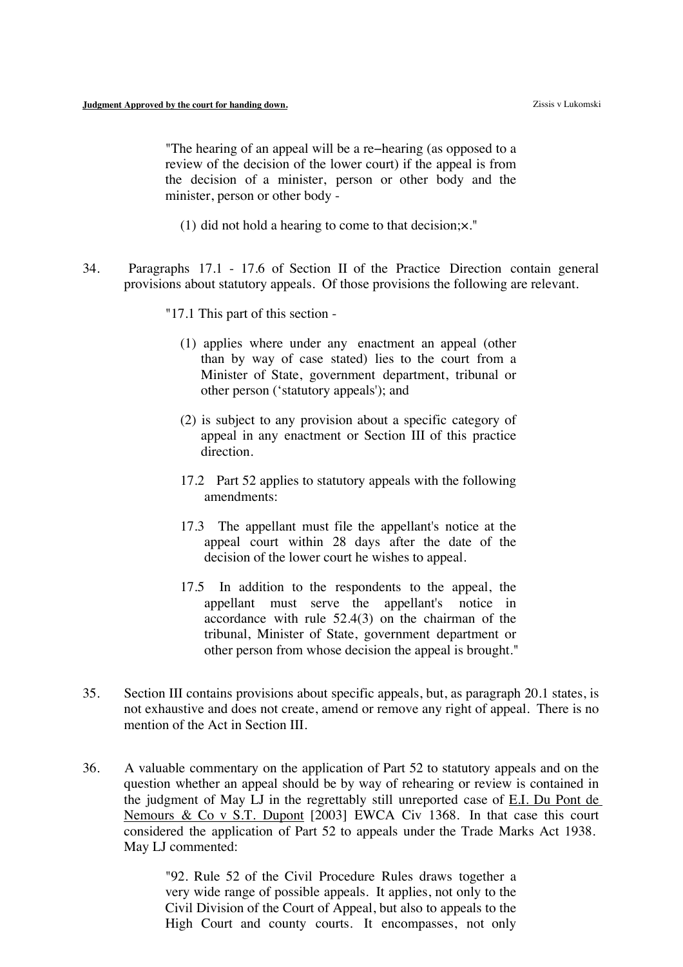"The hearing of an appeal will be a re−hearing (as opposed to a review of the decision of the lower court) if the appeal is from the decision of a minister, person or other body and the minister, person or other body -

- (1) did not hold a hearing to come to that decision;×."
- 34. Paragraphs 17.1 17.6 of Section II of the Practice Direction contain general provisions about statutory appeals. Of those provisions the following are relevant.
	- "17.1 This part of this section
		- (1) applies where under any enactment an appeal (other than by way of case stated) lies to the court from a Minister of State, government department, tribunal or other person ('statutory appeals'); and
		- (2) is subject to any provision about a specific category of appeal in any enactment or Section III of this practice direction.
		- 17.2 Part 52 applies to statutory appeals with the following amendments:
		- 17.3 The appellant must file the appellant's notice at the appeal court within 28 days after the date of the decision of the lower court he wishes to appeal.
		- 17.5 In addition to the respondents to the appeal, the appellant must serve the appellant's notice in accordance with rule 52.4(3) on the chairman of the tribunal, Minister of State, government department or other person from whose decision the appeal is brought."
- 35. Section III contains provisions about specific appeals, but, as paragraph 20.1 states, is not exhaustive and does not create, amend or remove any right of appeal. There is no mention of the Act in Section III.
- 36. A valuable commentary on the application of Part 52 to statutory appeals and on the question whether an appeal should be by way of rehearing or review is contained in the judgment of May LJ in the regrettably still unreported case of E.I. Du Pont de Nemours & Co v S.T. Dupont [2003] EWCA Civ 1368. In that case this court considered the application of Part 52 to appeals under the Trade Marks Act 1938. May LJ commented:

"92. Rule 52 of the Civil Procedure Rules draws together a very wide range of possible appeals. It applies, not only to the Civil Division of the Court of Appeal, but also to appeals to the High Court and county courts. It encompasses, not only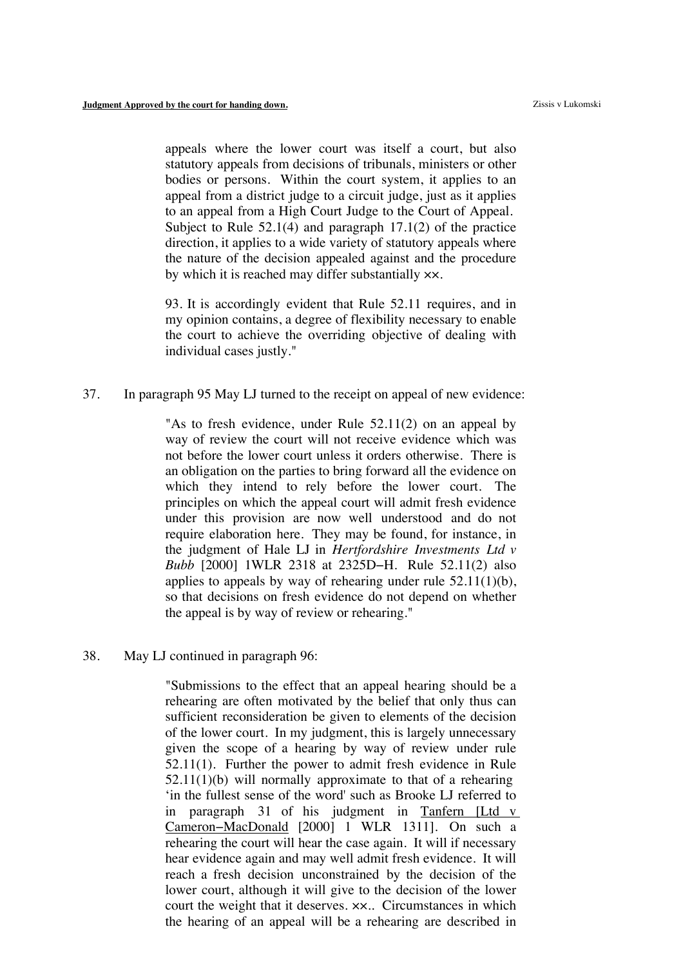appeals where the lower court was itself a court, but also statutory appeals from decisions of tribunals, ministers or other bodies or persons. Within the court system, it applies to an appeal from a district judge to a circuit judge, just as it applies to an appeal from a High Court Judge to the Court of Appeal. Subject to Rule 52.1(4) and paragraph 17.1(2) of the practice direction, it applies to a wide variety of statutory appeals where the nature of the decision appealed against and the procedure by which it is reached may differ substantially ××.

93. It is accordingly evident that Rule 52.11 requires, and in my opinion contains, a degree of flexibility necessary to enable the court to achieve the overriding objective of dealing with individual cases justly."

37. In paragraph 95 May LJ turned to the receipt on appeal of new evidence:

"As to fresh evidence, under Rule 52.11(2) on an appeal by way of review the court will not receive evidence which was not before the lower court unless it orders otherwise. There is an obligation on the parties to bring forward all the evidence on which they intend to rely before the lower court. The principles on which the appeal court will admit fresh evidence under this provision are now well understood and do not require elaboration here. They may be found, for instance, in the judgment of Hale LJ in *Hertfordshire Investments Ltd v Bubb* [2000] 1WLR 2318 at 2325D−H. Rule 52.11(2) also applies to appeals by way of rehearing under rule  $52.11(1)(b)$ , so that decisions on fresh evidence do not depend on whether the appeal is by way of review or rehearing."

38. May LJ continued in paragraph 96:

"Submissions to the effect that an appeal hearing should be a rehearing are often motivated by the belief that only thus can sufficient reconsideration be given to elements of the decision of the lower court. In my judgment, this is largely unnecessary given the scope of a hearing by way of review under rule 52.11(1). Further the power to admit fresh evidence in Rule 52.11(1)(b) will normally approximate to that of a rehearing 'in the fullest sense of the word' such as Brooke LJ referred to in paragraph 31 of his judgment in Tanfern [Ltd v Cameron−MacDonald [2000] 1 WLR 1311]. On such a rehearing the court will hear the case again. It will if necessary hear evidence again and may well admit fresh evidence. It will reach a fresh decision unconstrained by the decision of the lower court, although it will give to the decision of the lower court the weight that it deserves. ××.. Circumstances in which the hearing of an appeal will be a rehearing are described in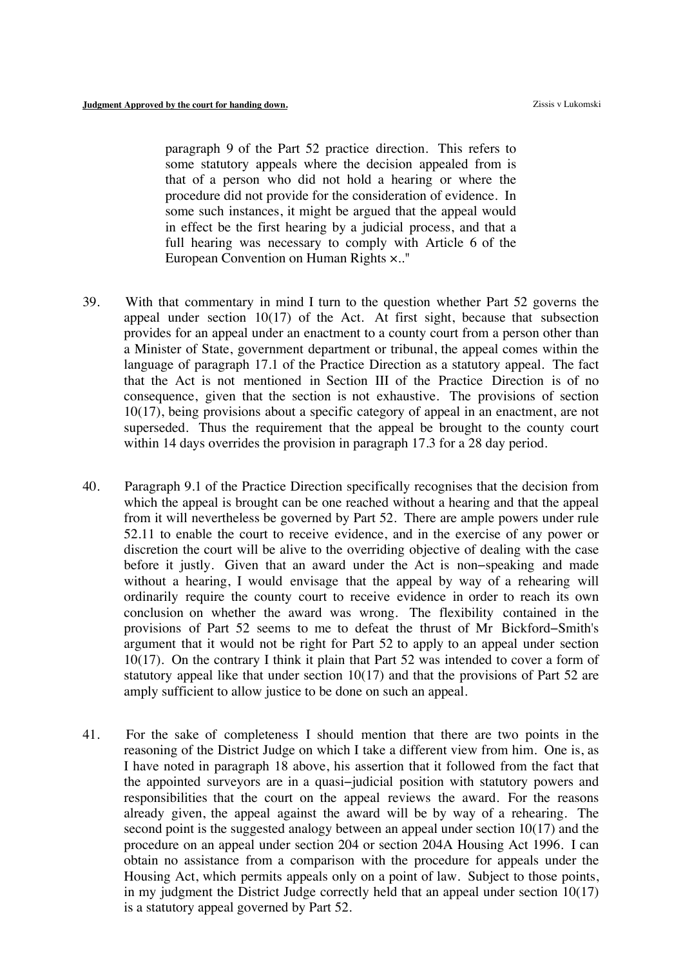paragraph 9 of the Part 52 practice direction. This refers to some statutory appeals where the decision appealed from is that of a person who did not hold a hearing or where the procedure did not provide for the consideration of evidence. In some such instances, it might be argued that the appeal would in effect be the first hearing by a judicial process, and that a full hearing was necessary to comply with Article 6 of the European Convention on Human Rights ×.."

- 39. With that commentary in mind I turn to the question whether Part 52 governs the appeal under section  $10(17)$  of the Act. At first sight, because that subsection provides for an appeal under an enactment to a county court from a person other than a Minister of State, government department or tribunal, the appeal comes within the language of paragraph 17.1 of the Practice Direction as a statutory appeal. The fact that the Act is not mentioned in Section III of the Practice Direction is of no consequence, given that the section is not exhaustive. The provisions of section 10(17), being provisions about a specific category of appeal in an enactment, are not superseded. Thus the requirement that the appeal be brought to the county court within 14 days overrides the provision in paragraph 17.3 for a 28 day period.
- 40. Paragraph 9.1 of the Practice Direction specifically recognises that the decision from which the appeal is brought can be one reached without a hearing and that the appeal from it will nevertheless be governed by Part 52. There are ample powers under rule 52.11 to enable the court to receive evidence, and in the exercise of any power or discretion the court will be alive to the overriding objective of dealing with the case before it justly. Given that an award under the Act is non−speaking and made without a hearing, I would envisage that the appeal by way of a rehearing will ordinarily require the county court to receive evidence in order to reach its own conclusion on whether the award was wrong. The flexibility contained in the provisions of Part 52 seems to me to defeat the thrust of Mr Bickford−Smith's argument that it would not be right for Part 52 to apply to an appeal under section 10(17). On the contrary I think it plain that Part 52 was intended to cover a form of statutory appeal like that under section 10(17) and that the provisions of Part 52 are amply sufficient to allow justice to be done on such an appeal.
- 41. For the sake of completeness I should mention that there are two points in the reasoning of the District Judge on which I take a different view from him. One is, as I have noted in paragraph 18 above, his assertion that it followed from the fact that the appointed surveyors are in a quasi−judicial position with statutory powers and responsibilities that the court on the appeal reviews the award. For the reasons already given, the appeal against the award will be by way of a rehearing. The second point is the suggested analogy between an appeal under section 10(17) and the procedure on an appeal under section 204 or section 204A Housing Act 1996. I can obtain no assistance from a comparison with the procedure for appeals under the Housing Act, which permits appeals only on a point of law. Subject to those points, in my judgment the District Judge correctly held that an appeal under section 10(17) is a statutory appeal governed by Part 52.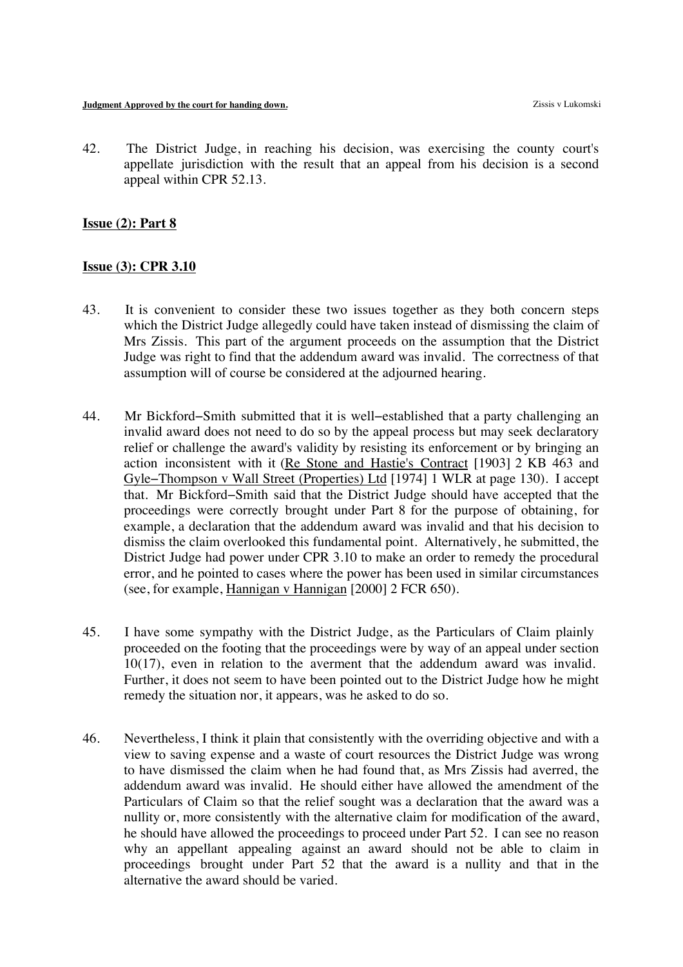42. The District Judge, in reaching his decision, was exercising the county court's appellate jurisdiction with the result that an appeal from his decision is a second appeal within CPR 52.13.

## **Issue (2): Part 8**

## **Issue (3): CPR 3.10**

- 43. It is convenient to consider these two issues together as they both concern steps which the District Judge allegedly could have taken instead of dismissing the claim of Mrs Zissis. This part of the argument proceeds on the assumption that the District Judge was right to find that the addendum award was invalid. The correctness of that assumption will of course be considered at the adjourned hearing.
- 44. Mr Bickford−Smith submitted that it is well−established that a party challenging an invalid award does not need to do so by the appeal process but may seek declaratory relief or challenge the award's validity by resisting its enforcement or by bringing an action inconsistent with it (Re Stone and Hastie's Contract [1903] 2 KB 463 and Gyle−Thompson v Wall Street (Properties) Ltd [1974] 1 WLR at page 130). I accept that. Mr Bickford−Smith said that the District Judge should have accepted that the proceedings were correctly brought under Part 8 for the purpose of obtaining, for example, a declaration that the addendum award was invalid and that his decision to dismiss the claim overlooked this fundamental point. Alternatively, he submitted, the District Judge had power under CPR 3.10 to make an order to remedy the procedural error, and he pointed to cases where the power has been used in similar circumstances (see, for example, Hannigan v Hannigan [2000] 2 FCR 650).
- 45. I have some sympathy with the District Judge, as the Particulars of Claim plainly proceeded on the footing that the proceedings were by way of an appeal under section 10(17), even in relation to the averment that the addendum award was invalid. Further, it does not seem to have been pointed out to the District Judge how he might remedy the situation nor, it appears, was he asked to do so.
- 46. Nevertheless, I think it plain that consistently with the overriding objective and with a view to saving expense and a waste of court resources the District Judge was wrong to have dismissed the claim when he had found that, as Mrs Zissis had averred, the addendum award was invalid. He should either have allowed the amendment of the Particulars of Claim so that the relief sought was a declaration that the award was a nullity or, more consistently with the alternative claim for modification of the award, he should have allowed the proceedings to proceed under Part 52. I can see no reason why an appellant appealing against an award should not be able to claim in proceedings brought under Part 52 that the award is a nullity and that in the alternative the award should be varied.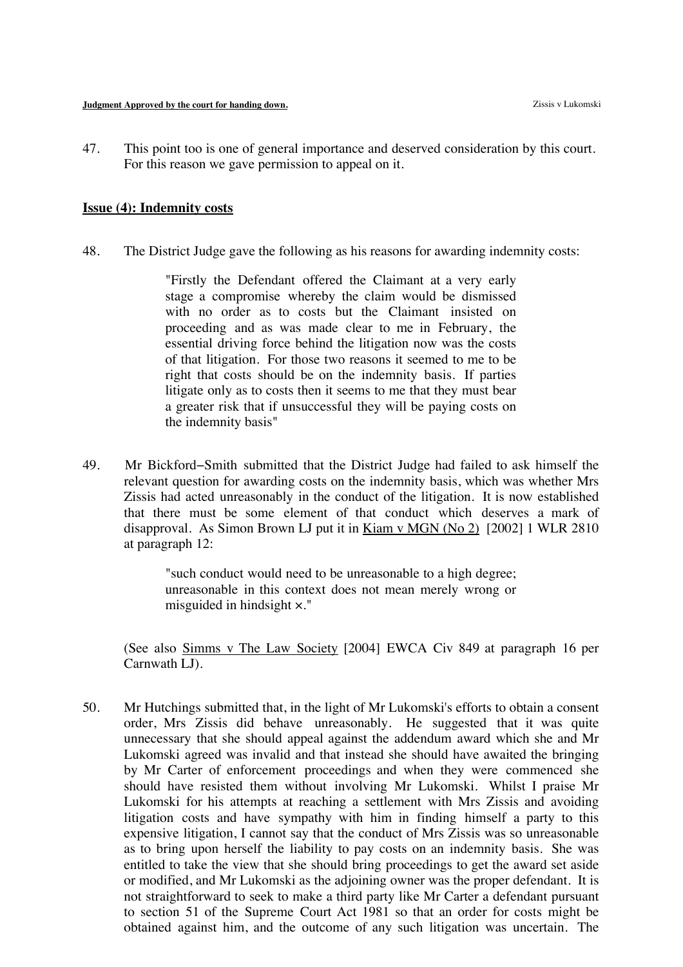47. This point too is one of general importance and deserved consideration by this court. For this reason we gave permission to appeal on it.

## **Issue (4): Indemnity costs**

48. The District Judge gave the following as his reasons for awarding indemnity costs:

"Firstly the Defendant offered the Claimant at a very early stage a compromise whereby the claim would be dismissed with no order as to costs but the Claimant insisted on proceeding and as was made clear to me in February, the essential driving force behind the litigation now was the costs of that litigation. For those two reasons it seemed to me to be right that costs should be on the indemnity basis. If parties litigate only as to costs then it seems to me that they must bear a greater risk that if unsuccessful they will be paying costs on the indemnity basis"

49. Mr Bickford−Smith submitted that the District Judge had failed to ask himself the relevant question for awarding costs on the indemnity basis, which was whether Mrs Zissis had acted unreasonably in the conduct of the litigation. It is now established that there must be some element of that conduct which deserves a mark of disapproval. As Simon Brown LJ put it in Kiam v MGN (No 2) [2002] 1 WLR 2810 at paragraph 12:

> "such conduct would need to be unreasonable to a high degree; unreasonable in this context does not mean merely wrong or misguided in hindsight ×."

(See also Simms v The Law Society [2004] EWCA Civ 849 at paragraph 16 per Carnwath LJ).

50. Mr Hutchings submitted that, in the light of Mr Lukomski's efforts to obtain a consent order, Mrs Zissis did behave unreasonably. He suggested that it was quite unnecessary that she should appeal against the addendum award which she and Mr Lukomski agreed was invalid and that instead she should have awaited the bringing by Mr Carter of enforcement proceedings and when they were commenced she should have resisted them without involving Mr Lukomski. Whilst I praise Mr Lukomski for his attempts at reaching a settlement with Mrs Zissis and avoiding litigation costs and have sympathy with him in finding himself a party to this expensive litigation, I cannot say that the conduct of Mrs Zissis was so unreasonable as to bring upon herself the liability to pay costs on an indemnity basis. She was entitled to take the view that she should bring proceedings to get the award set aside or modified, and Mr Lukomski as the adjoining owner was the proper defendant. It is not straightforward to seek to make a third party like Mr Carter a defendant pursuant to section 51 of the Supreme Court Act 1981 so that an order for costs might be obtained against him, and the outcome of any such litigation was uncertain. The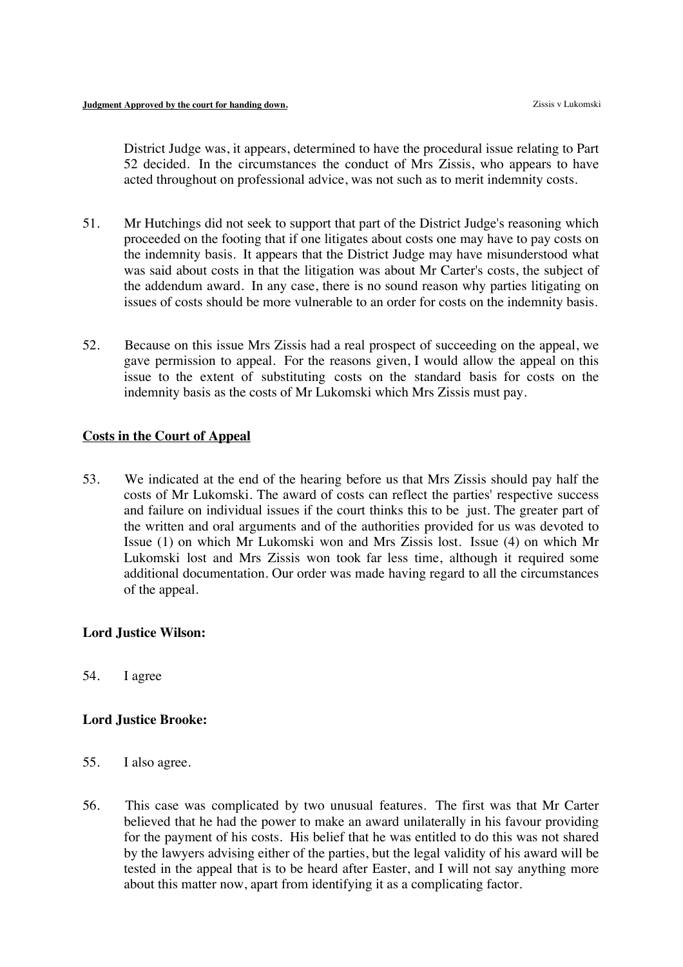District Judge was, it appears, determined to have the procedural issue relating to Part 52 decided. In the circumstances the conduct of Mrs Zissis, who appears to have acted throughout on professional advice, was not such as to merit indemnity costs.

- 51. Mr Hutchings did not seek to support that part of the District Judge's reasoning which proceeded on the footing that if one litigates about costs one may have to pay costs on the indemnity basis. It appears that the District Judge may have misunderstood what was said about costs in that the litigation was about Mr Carter's costs, the subject of the addendum award. In any case, there is no sound reason why parties litigating on issues of costs should be more vulnerable to an order for costs on the indemnity basis.
- 52. Because on this issue Mrs Zissis had a real prospect of succeeding on the appeal, we gave permission to appeal. For the reasons given, I would allow the appeal on this issue to the extent of substituting costs on the standard basis for costs on the indemnity basis as the costs of Mr Lukomski which Mrs Zissis must pay.

# **Costs in the Court of Appeal**

53. We indicated at the end of the hearing before us that Mrs Zissis should pay half the costs of Mr Lukomski. The award of costs can reflect the parties' respective success and failure on individual issues if the court thinks this to be just. The greater part of the written and oral arguments and of the authorities provided for us was devoted to Issue (1) on which Mr Lukomski won and Mrs Zissis lost. Issue (4) on which Mr Lukomski lost and Mrs Zissis won took far less time, although it required some additional documentation. Our order was made having regard to all the circumstances of the appeal.

## **Lord Justice Wilson:**

54. I agree

# **Lord Justice Brooke:**

- 55. I also agree.
- 56. This case was complicated by two unusual features. The first was that Mr Carter believed that he had the power to make an award unilaterally in his favour providing for the payment of his costs. His belief that he was entitled to do this was not shared by the lawyers advising either of the parties, but the legal validity of his award will be tested in the appeal that is to be heard after Easter, and I will not say anything more about this matter now, apart from identifying it as a complicating factor.